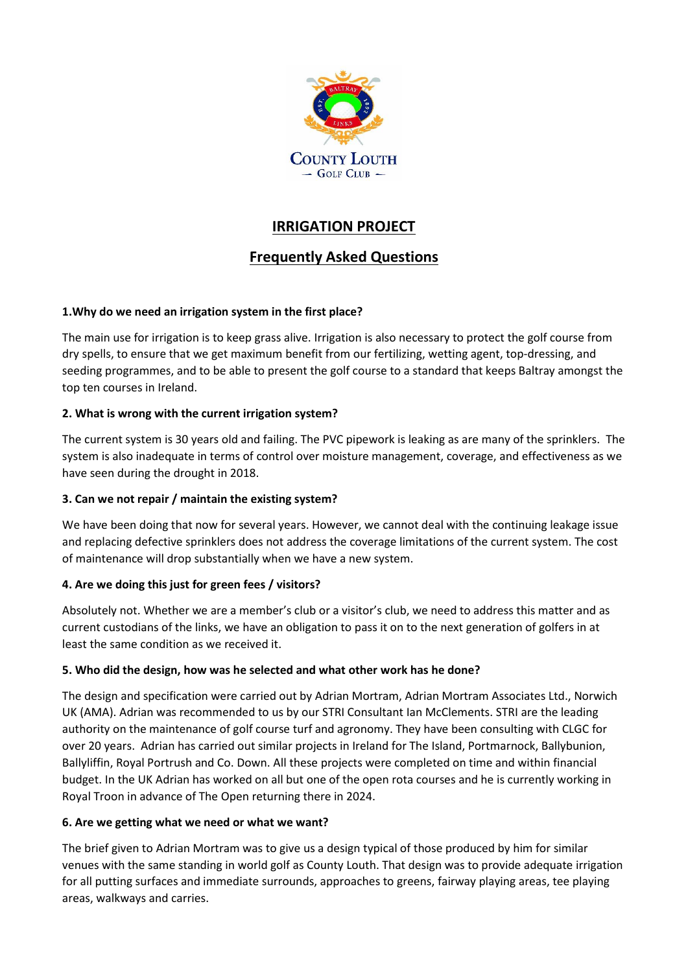

# **IRRIGATION PROJECT**

# **Frequently Asked Questions**

## **1.Why do we need an irrigation system in the first place?**

The main use for irrigation is to keep grass alive. Irrigation is also necessary to protect the golf course from dry spells, to ensure that we get maximum benefit from our fertilizing, wetting agent, top-dressing, and seeding programmes, and to be able to present the golf course to a standard that keeps Baltray amongst the top ten courses in Ireland.

## **2. What is wrong with the current irrigation system?**

The current system is 30 years old and failing. The PVC pipework is leaking as are many of the sprinklers. The system is also inadequate in terms of control over moisture management, coverage, and effectiveness as we have seen during the drought in 2018.

#### **3. Can we not repair / maintain the existing system?**

We have been doing that now for several years. However, we cannot deal with the continuing leakage issue and replacing defective sprinklers does not address the coverage limitations of the current system. The cost of maintenance will drop substantially when we have a new system.

# **4. Are we doing this just for green fees / visitors?**

Absolutely not. Whether we are a member's club or a visitor's club, we need to address this matter and as current custodians of the links, we have an obligation to pass it on to the next generation of golfers in at least the same condition as we received it.

#### **5. Who did the design, how was he selected and what other work has he done?**

The design and specification were carried out by Adrian Mortram, Adrian Mortram Associates Ltd., Norwich UK (AMA). Adrian was recommended to us by our STRI Consultant Ian McClements. STRI are the leading authority on the maintenance of golf course turf and agronomy. They have been consulting with CLGC for over 20 years. Adrian has carried out similar projects in Ireland for The Island, Portmarnock, Ballybunion, Ballyliffin, Royal Portrush and Co. Down. All these projects were completed on time and within financial budget. In the UK Adrian has worked on all but one of the open rota courses and he is currently working in Royal Troon in advance of The Open returning there in 2024.

#### **6. Are we getting what we need or what we want?**

The brief given to Adrian Mortram was to give us a design typical of those produced by him for similar venues with the same standing in world golf as County Louth. That design was to provide adequate irrigation for all putting surfaces and immediate surrounds, approaches to greens, fairway playing areas, tee playing areas, walkways and carries.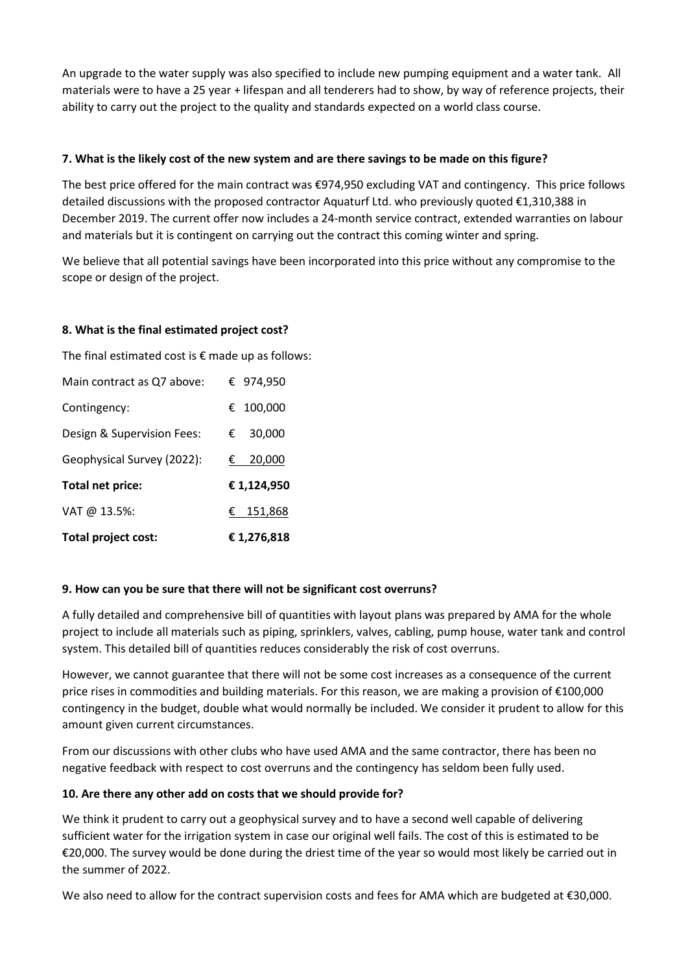An upgrade to the water supply was also specified to include new pumping equipment and a water tank. All materials were to have a 25 year + lifespan and all tenderers had to show, by way of reference projects, their ability to carry out the project to the quality and standards expected on a world class course.

#### **7. What is the likely cost of the new system and are there savings to be made on this figure?**

The best price offered for the main contract was €974,950 excluding VAT and contingency. This price follows detailed discussions with the proposed contractor Aquaturf Ltd. who previously quoted €1,310,388 in December 2019. The current offer now includes a 24-month service contract, extended warranties on labour and materials but it is contingent on carrying out the contract this coming winter and spring.

We believe that all potential savings have been incorporated into this price without any compromise to the scope or design of the project.

#### **8. What is the final estimated project cost?**

The final estimated cost is  $\epsilon$  made up as follows:

| Total project cost:        | €1,276,818   |
|----------------------------|--------------|
| VAT @ 13.5%:               | € 151,868    |
| Total net price:           | € 1,124,950  |
| Geophysical Survey (2022): | 20,000<br>€  |
| Design & Supervision Fees: | 30,000<br>€. |
| Contingency:               | € 100,000    |
| Main contract as Q7 above: | € 974,950    |

#### **9. How can you be sure that there will not be significant cost overruns?**

A fully detailed and comprehensive bill of quantities with layout plans was prepared by AMA for the whole project to include all materials such as piping, sprinklers, valves, cabling, pump house, water tank and control system. This detailed bill of quantities reduces considerably the risk of cost overruns.

However, we cannot guarantee that there will not be some cost increases as a consequence of the current price rises in commodities and building materials. For this reason, we are making a provision of €100,000 contingency in the budget, double what would normally be included. We consider it prudent to allow for this amount given current circumstances.

From our discussions with other clubs who have used AMA and the same contractor, there has been no negative feedback with respect to cost overruns and the contingency has seldom been fully used.

#### **10. Are there any other add on costs that we should provide for?**

We think it prudent to carry out a geophysical survey and to have a second well capable of delivering sufficient water for the irrigation system in case our original well fails. The cost of this is estimated to be €20,000. The survey would be done during the driest time of the year so would most likely be carried out in the summer of 2022.

We also need to allow for the contract supervision costs and fees for AMA which are budgeted at €30,000.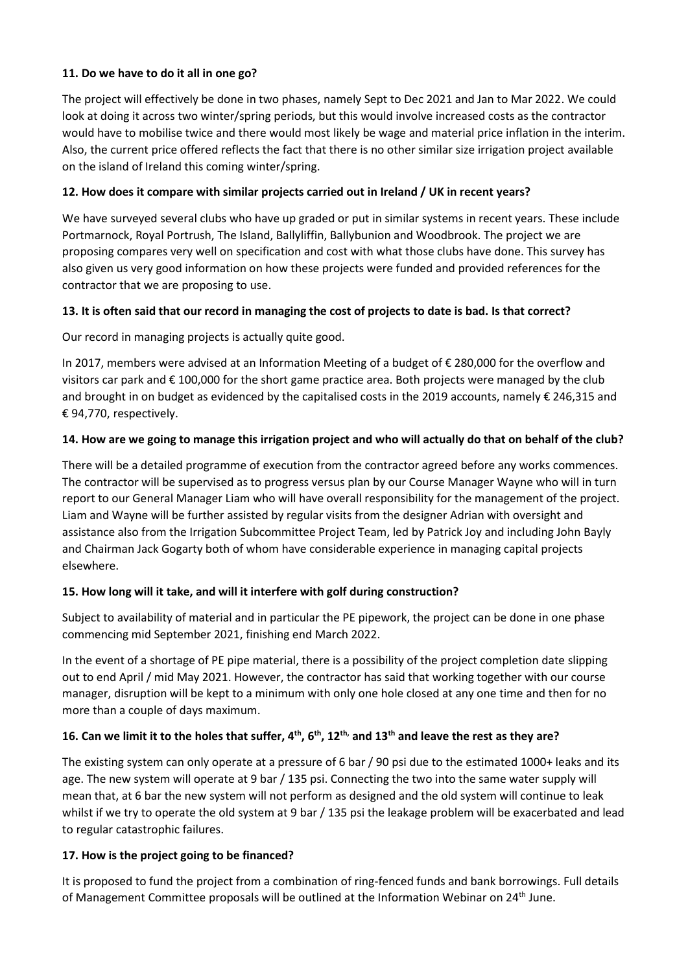#### **11. Do we have to do it all in one go?**

The project will effectively be done in two phases, namely Sept to Dec 2021 and Jan to Mar 2022. We could look at doing it across two winter/spring periods, but this would involve increased costs as the contractor would have to mobilise twice and there would most likely be wage and material price inflation in the interim. Also, the current price offered reflects the fact that there is no other similar size irrigation project available on the island of Ireland this coming winter/spring.

#### **12. How does it compare with similar projects carried out in Ireland / UK in recent years?**

We have surveyed several clubs who have up graded or put in similar systems in recent years. These include Portmarnock, Royal Portrush, The Island, Ballyliffin, Ballybunion and Woodbrook. The project we are proposing compares very well on specification and cost with what those clubs have done. This survey has also given us very good information on how these projects were funded and provided references for the contractor that we are proposing to use.

## **13. It is often said that our record in managing the cost of projects to date is bad. Is that correct?**

Our record in managing projects is actually quite good.

In 2017, members were advised at an Information Meeting of a budget of € 280,000 for the overflow and visitors car park and € 100,000 for the short game practice area. Both projects were managed by the club and brought in on budget as evidenced by the capitalised costs in the 2019 accounts, namely € 246,315 and € 94,770, respectively.

## **14. How are we going to manage this irrigation project and who will actually do that on behalf of the club?**

There will be a detailed programme of execution from the contractor agreed before any works commences. The contractor will be supervised as to progress versus plan by our Course Manager Wayne who will in turn report to our General Manager Liam who will have overall responsibility for the management of the project. Liam and Wayne will be further assisted by regular visits from the designer Adrian with oversight and assistance also from the Irrigation Subcommittee Project Team, led by Patrick Joy and including John Bayly and Chairman Jack Gogarty both of whom have considerable experience in managing capital projects elsewhere.

#### **15. How long will it take, and will it interfere with golf during construction?**

Subject to availability of material and in particular the PE pipework, the project can be done in one phase commencing mid September 2021, finishing end March 2022.

In the event of a shortage of PE pipe material, there is a possibility of the project completion date slipping out to end April / mid May 2021. However, the contractor has said that working together with our course manager, disruption will be kept to a minimum with only one hole closed at any one time and then for no more than a couple of days maximum.

# **16. Can we limit it to the holes that suffer, 4th, 6th , 12th, and 13th and leave the rest as they are?**

The existing system can only operate at a pressure of 6 bar / 90 psi due to the estimated 1000+ leaks and its age. The new system will operate at 9 bar / 135 psi. Connecting the two into the same water supply will mean that, at 6 bar the new system will not perform as designed and the old system will continue to leak whilst if we try to operate the old system at 9 bar / 135 psi the leakage problem will be exacerbated and lead to regular catastrophic failures.

#### **17. How is the project going to be financed?**

It is proposed to fund the project from a combination of ring-fenced funds and bank borrowings. Full details of Management Committee proposals will be outlined at the Information Webinar on 24th June.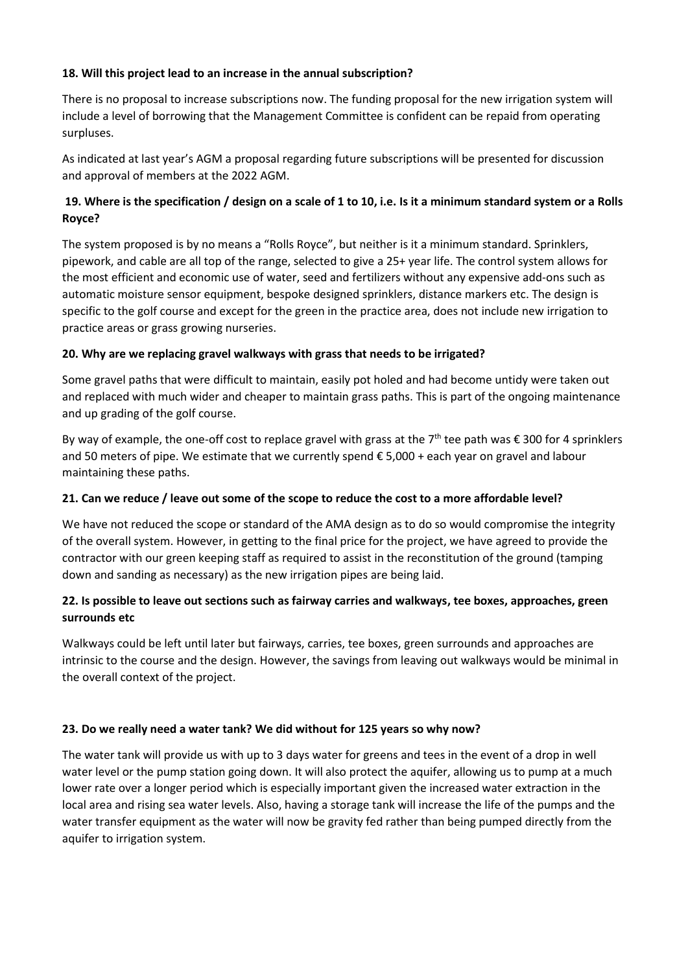#### **18. Will this project lead to an increase in the annual subscription?**

There is no proposal to increase subscriptions now. The funding proposal for the new irrigation system will include a level of borrowing that the Management Committee is confident can be repaid from operating surpluses.

As indicated at last year's AGM a proposal regarding future subscriptions will be presented for discussion and approval of members at the 2022 AGM.

## **19. Where is the specification / design on a scale of 1 to 10, i.e. Is it a minimum standard system or a Rolls Royce?**

The system proposed is by no means a "Rolls Royce", but neither is it a minimum standard. Sprinklers, pipework, and cable are all top of the range, selected to give a 25+ year life. The control system allows for the most efficient and economic use of water, seed and fertilizers without any expensive add-ons such as automatic moisture sensor equipment, bespoke designed sprinklers, distance markers etc. The design is specific to the golf course and except for the green in the practice area, does not include new irrigation to practice areas or grass growing nurseries.

#### **20. Why are we replacing gravel walkways with grass that needs to be irrigated?**

Some gravel paths that were difficult to maintain, easily pot holed and had become untidy were taken out and replaced with much wider and cheaper to maintain grass paths. This is part of the ongoing maintenance and up grading of the golf course.

By way of example, the one-off cost to replace gravel with grass at the 7<sup>th</sup> tee path was  $\epsilon$  300 for 4 sprinklers and 50 meters of pipe. We estimate that we currently spend € 5,000 + each year on gravel and labour maintaining these paths.

#### **21. Can we reduce / leave out some of the scope to reduce the cost to a more affordable level?**

We have not reduced the scope or standard of the AMA design as to do so would compromise the integrity of the overall system. However, in getting to the final price for the project, we have agreed to provide the contractor with our green keeping staff as required to assist in the reconstitution of the ground (tamping down and sanding as necessary) as the new irrigation pipes are being laid.

## **22. Is possible to leave out sections such as fairway carries and walkways, tee boxes, approaches, green surrounds etc**

Walkways could be left until later but fairways, carries, tee boxes, green surrounds and approaches are intrinsic to the course and the design. However, the savings from leaving out walkways would be minimal in the overall context of the project.

#### **23. Do we really need a water tank? We did without for 125 years so why now?**

The water tank will provide us with up to 3 days water for greens and tees in the event of a drop in well water level or the pump station going down. It will also protect the aquifer, allowing us to pump at a much lower rate over a longer period which is especially important given the increased water extraction in the local area and rising sea water levels. Also, having a storage tank will increase the life of the pumps and the water transfer equipment as the water will now be gravity fed rather than being pumped directly from the aquifer to irrigation system.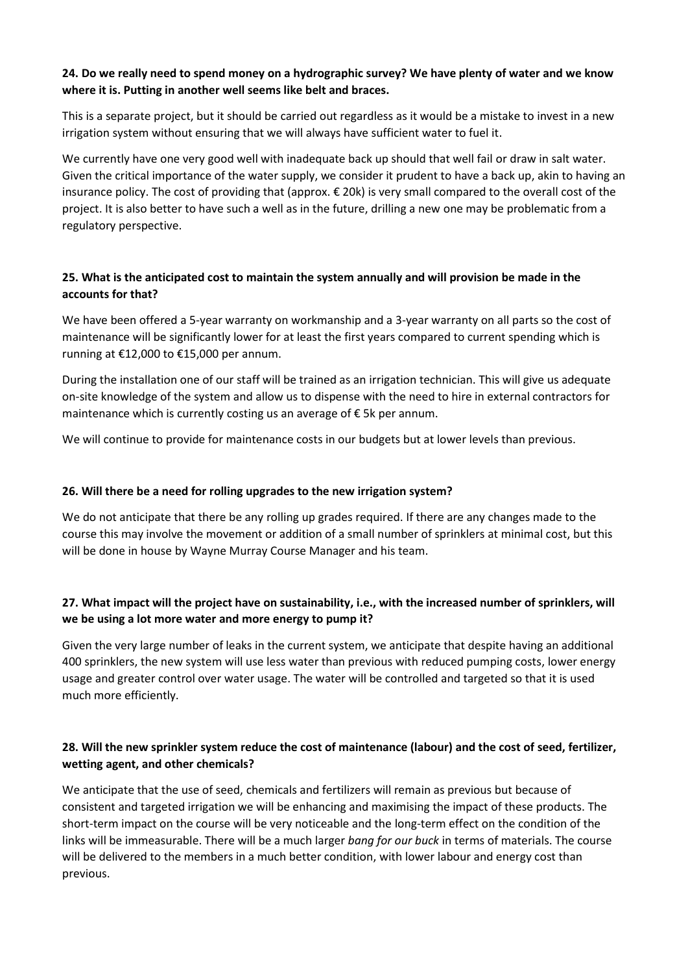#### **24. Do we really need to spend money on a hydrographic survey? We have plenty of water and we know where it is. Putting in another well seems like belt and braces.**

This is a separate project, but it should be carried out regardless as it would be a mistake to invest in a new irrigation system without ensuring that we will always have sufficient water to fuel it.

We currently have one very good well with inadequate back up should that well fail or draw in salt water. Given the critical importance of the water supply, we consider it prudent to have a back up, akin to having an insurance policy. The cost of providing that (approx. € 20k) is very small compared to the overall cost of the project. It is also better to have such a well as in the future, drilling a new one may be problematic from a regulatory perspective.

## **25. What is the anticipated cost to maintain the system annually and will provision be made in the accounts for that?**

We have been offered a 5-year warranty on workmanship and a 3-year warranty on all parts so the cost of maintenance will be significantly lower for at least the first years compared to current spending which is running at €12,000 to €15,000 per annum.

During the installation one of our staff will be trained as an irrigation technician. This will give us adequate on-site knowledge of the system and allow us to dispense with the need to hire in external contractors for maintenance which is currently costing us an average of € 5k per annum.

We will continue to provide for maintenance costs in our budgets but at lower levels than previous.

#### **26. Will there be a need for rolling upgrades to the new irrigation system?**

We do not anticipate that there be any rolling up grades required. If there are any changes made to the course this may involve the movement or addition of a small number of sprinklers at minimal cost, but this will be done in house by Wayne Murray Course Manager and his team.

# **27. What impact will the project have on sustainability, i.e., with the increased number of sprinklers, will we be using a lot more water and more energy to pump it?**

Given the very large number of leaks in the current system, we anticipate that despite having an additional 400 sprinklers, the new system will use less water than previous with reduced pumping costs, lower energy usage and greater control over water usage. The water will be controlled and targeted so that it is used much more efficiently.

# **28. Will the new sprinkler system reduce the cost of maintenance (labour) and the cost of seed, fertilizer, wetting agent, and other chemicals?**

We anticipate that the use of seed, chemicals and fertilizers will remain as previous but because of consistent and targeted irrigation we will be enhancing and maximising the impact of these products. The short-term impact on the course will be very noticeable and the long-term effect on the condition of the links will be immeasurable. There will be a much larger *bang for our buck* in terms of materials. The course will be delivered to the members in a much better condition, with lower labour and energy cost than previous.